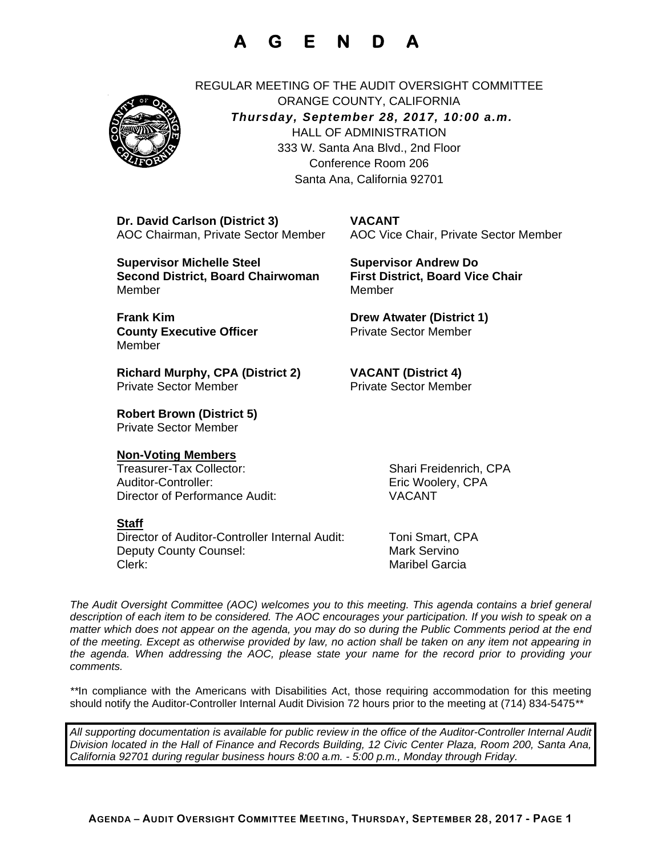## **A G E N D A**



REGULAR MEETING OF THE AUDIT OVERSIGHT COMMITTEE ORANGE COUNTY, CALIFORNIA *Thursday, September 28, 2017, 10:00 a.m.* HALL OF ADMINISTRATION 333 W. Santa Ana Blvd., 2nd Floor Conference Room 206 Santa Ana, California 92701

 **Dr. David Carlson (District 3) VACANT** AOC Chairman, Private Sector Member AOC Vice Chair, Private Sector Member

 **Supervisor Michelle Steel Supervisor Andrew Do Second District, Board Chairwoman First District, Board Vice Chair** MemberMember

**Frank Kim Community Community Community Drew Atwater (District 1) County Executive Officer Private Sector Member** Member

 **Richard Murphy, CPA (District 2) VACANT (District 4) Private Sector Member** Private Sector Member

 **Robert Brown (District 5)** Private Sector Member

#### **Non-Voting Members**

 Treasurer-Tax Collector: Shari Freidenrich, CPA Auditor-Controller: Eric Woolery, CPA Director of Performance Audit: VACANT

#### **Staff**

Director of Auditor-Controller Internal Audit: Toni Smart, CPA Deputy County Counsel: Mark Servino Clerk: Maribel Garcia

*The Audit Oversight Committee (AOC) welcomes you to this meeting. This agenda contains a brief general*  description of each item to be considered. The AOC encourages your participation. If you wish to speak on a *matter which does not appear on the agenda, you may do so during the Public Comments period at the end of the meeting. Except as otherwise provided by law, no action shall be taken on any item not appearing in the agenda. When addressing the AOC, please state your name for the record prior to providing your comments.* 

*\*\**In compliance with the Americans with Disabilities Act, those requiring accommodation for this meeting should notify the Auditor-Controller Internal Audit Division 72 hours prior to the meeting at (714) 834-5475*\*\** 

*All supporting documentation is available for public review in the office of the Auditor-Controller Internal Audit Division located in the Hall of Finance and Records Building, 12 Civic Center Plaza, Room 200, Santa Ana, California 92701 during regular business hours 8:00 a.m. - 5:00 p.m., Monday through Friday.*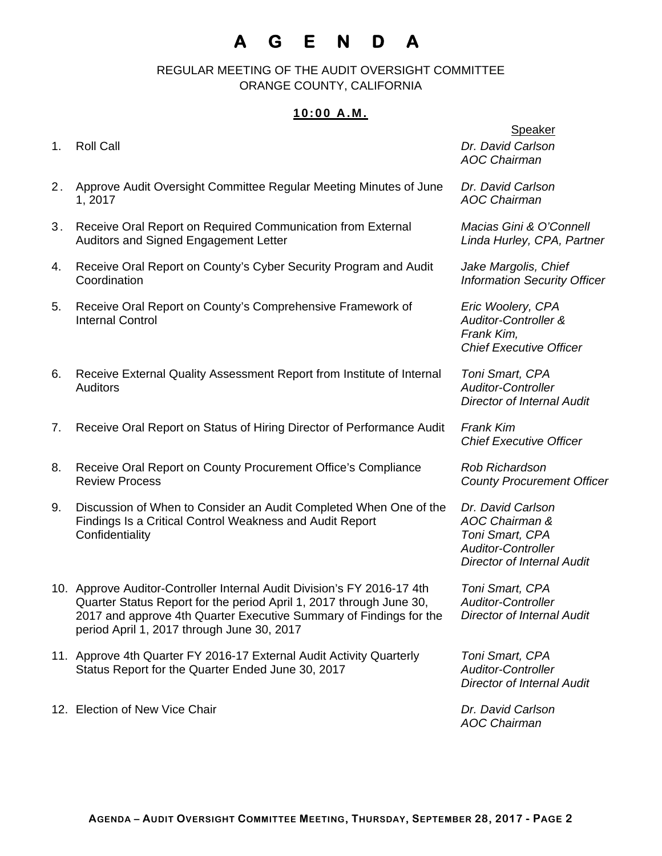# **A G E N D A**

 REGULAR MEETING OF THE AUDIT OVERSIGHT COMMITTEE ORANGE COUNTY, CALIFORNIA

## **10:00 A.M.**

| 1. | <b>Roll Call</b>                                                                                                                                                                                                                                                   | <b>Speaker</b><br>Dr. David Carlson<br><b>AOC Chairman</b>                                                               |
|----|--------------------------------------------------------------------------------------------------------------------------------------------------------------------------------------------------------------------------------------------------------------------|--------------------------------------------------------------------------------------------------------------------------|
| 2. | Approve Audit Oversight Committee Regular Meeting Minutes of June<br>1, 2017                                                                                                                                                                                       | Dr. David Carlson<br><b>AOC Chairman</b>                                                                                 |
| 3. | Receive Oral Report on Required Communication from External<br>Auditors and Signed Engagement Letter                                                                                                                                                               | Macias Gini & O'Connell<br>Linda Hurley, CPA, Partner                                                                    |
| 4. | Receive Oral Report on County's Cyber Security Program and Audit<br>Coordination                                                                                                                                                                                   | Jake Margolis, Chief<br><b>Information Security Officer</b>                                                              |
| 5. | Receive Oral Report on County's Comprehensive Framework of<br><b>Internal Control</b>                                                                                                                                                                              | Eric Woolery, CPA<br><b>Auditor-Controller &amp;</b><br>Frank Kim,<br><b>Chief Executive Officer</b>                     |
| 6. | Receive External Quality Assessment Report from Institute of Internal<br><b>Auditors</b>                                                                                                                                                                           | Toni Smart, CPA<br><b>Auditor-Controller</b><br><b>Director of Internal Audit</b>                                        |
| 7. | Receive Oral Report on Status of Hiring Director of Performance Audit                                                                                                                                                                                              | <b>Frank Kim</b><br><b>Chief Executive Officer</b>                                                                       |
| 8. | Receive Oral Report on County Procurement Office's Compliance<br><b>Review Process</b>                                                                                                                                                                             | <b>Rob Richardson</b><br><b>County Procurement Officer</b>                                                               |
| 9. | Discussion of When to Consider an Audit Completed When One of the<br>Findings Is a Critical Control Weakness and Audit Report<br>Confidentiality                                                                                                                   | Dr. David Carlson<br>AOC Chairman &<br>Toni Smart, CPA<br><b>Auditor-Controller</b><br><b>Director of Internal Audit</b> |
|    | 10. Approve Auditor-Controller Internal Audit Division's FY 2016-17 4th<br>Quarter Status Report for the period April 1, 2017 through June 30,<br>2017 and approve 4th Quarter Executive Summary of Findings for the<br>period April 1, 2017 through June 30, 2017 | Toni Smart, CPA<br><b>Auditor-Controller</b><br><b>Director of Internal Audit</b>                                        |
|    | 11. Approve 4th Quarter FY 2016-17 External Audit Activity Quarterly<br>Status Report for the Quarter Ended June 30, 2017                                                                                                                                          | Toni Smart, CPA<br><b>Auditor-Controller</b><br><b>Director of Internal Audit</b>                                        |
|    | 12. Election of New Vice Chair                                                                                                                                                                                                                                     | Dr. David Carlson                                                                                                        |

*AOC Chairman*